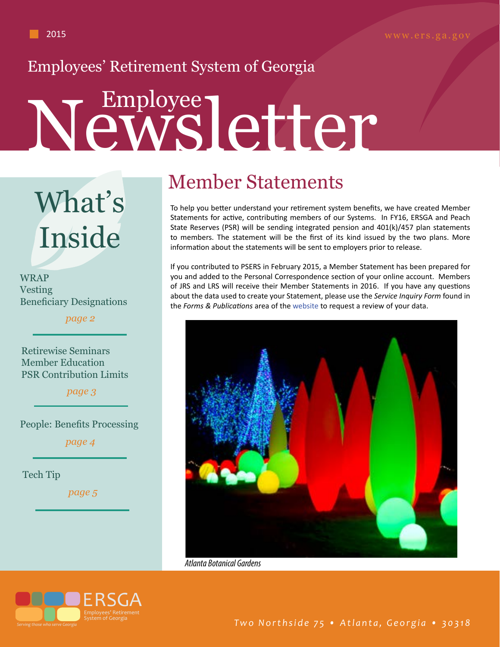#### Employees' Retirement System of Georgia

# Newsletter

What's Inside

WRAP Vesting Beneficiary Designations

*page 2*

Retirewise Seminars Member Education PSR Contribution Limits

*page 3*

People: Benefits Processing

*page 4*

Tech Tip

*page 5*

## Member Statements

To help you better understand your retirement system benefits, we have created Member Statements for active, contributing members of our Systems. In FY16, ERSGA and Peach State Reserves (PSR) will be sending integrated pension and 401(k)/457 plan statements to members. The statement will be the first of its kind issued by the two plans. More information about the statements will be sent to employers prior to release.

If you contributed to PSERS in February 2015, a Member Statement has been prepared for you and added to the Personal Correspondence section of your online account. Members of JRS and LRS will receive their Member Statements in 2016. If you have any questions about the data used to create your Statement, please use the *Service Inquiry Form* found in the *Forms & Publications* area of the [website](http://www.ers.ga.gov) to request a review of your data.



*Atlanta Botanical Gardens*

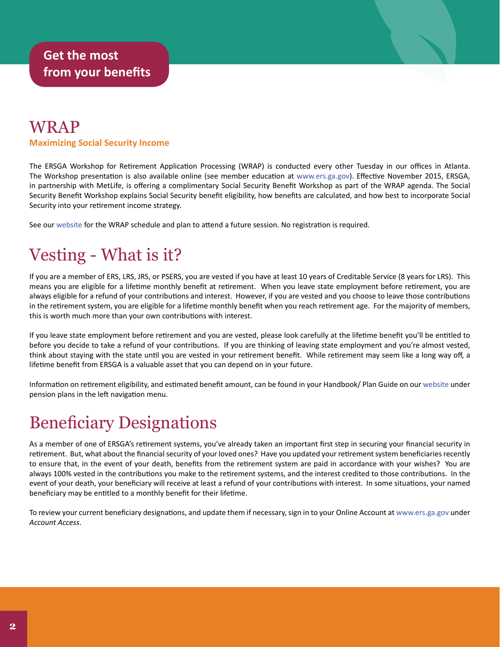#### WRAP **Maximizing Social Security Income**

The ERSGA Workshop for Retirement Application Processing (WRAP) is conducted every other Tuesday in our offices in Atlanta. The Workshop presentation is also available online (see member education at [www.ers.ga.gov](http://www.ers.ga.gov)). Effective November 2015, ERSGA, in partnership with MetLife, is offering a complimentary Social Security Benefit Workshop as part of the WRAP agenda. The Social Security Benefit Workshop explains Social Security benefit eligibility, how benefits are calculated, and how best to incorporate Social Security into your retirement income strategy.

See our [website](http://www.ers.ga.gov) for the WRAP schedule and plan to attend a future session. No registration is required.

### Vesting - What is it?

If you are a member of ERS, LRS, JRS, or PSERS, you are vested if you have at least 10 years of Creditable Service (8 years for LRS). This means you are eligible for a lifetime monthly benefit at retirement. When you leave state employment before retirement, you are always eligible for a refund of your contributions and interest. However, if you are vested and you choose to leave those contributions in the retirement system, you are eligible for a lifetime monthly benefit when you reach retirement age. For the majority of members, this is worth much more than your own contributions with interest.

If you leave state employment before retirement and you are vested, please look carefully at the lifetime benefit you'll be entitled to before you decide to take a refund of your contributions. If you are thinking of leaving state employment and you're almost vested, think about staying with the state until you are vested in your retirement benefit. While retirement may seem like a long way off, a lifetime benefit from ERSGA is a valuable asset that you can depend on in your future.

Information on retirement eligibility, and estimated benefit amount, can be found in your Handbook/ Plan Guide on our [website u](http://www.ers.ga.gov)nder pension plans in the left navigation menu.

#### Beneficiary Designations

As a member of one of ERSGA's retirement systems, you've already taken an important first step in securing your financial security in retirement. But, what about the financial security of your loved ones? Have you updated your retirement system beneficiaries recently to ensure that, in the event of your death, benefits from the retirement system are paid in accordance with your wishes? You are always 100% vested in the contributions you make to the retirement systems, and the interest credited to those contributions. In the event of your death, your beneficiary will receive at least a refund of your contributions with interest. In some situations, your named beneficiary may be entitled to a monthly benefit for their lifetime.

To review your current beneficiary designations, and update them if necessary, sign in to your Online Account at [www.ers.ga.gov](http://www.ers.ga.gov) under *Account Access*.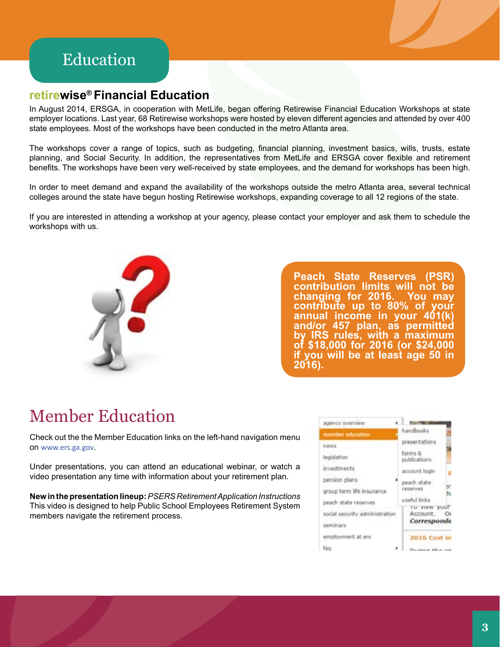#### **Education**

#### **retirewise® Financial Education**

In August 2014, ERSGA, in cooperation with MetLife, began offering Retirewise Financial Education Workshops at state employer locations. Last year, 68 Retirewise workshops were hosted by eleven different agencies and attended by over 400 state employees. Most of the workshops have been conducted in the metro Atlanta area.

The workshops cover a range of topics, such as budgeting, financial planning, investment basics, wills, trusts, estate planning, and Social Security. In addition, the representatives from MetLife and ERSGA cover flexible and retirement benefits. The workshops have been very well-received by state employees, and the demand for workshops has been high.

In order to meet demand and expand the availability of the workshops outside the metro Atlanta area, several technical colleges around the state have begun hosting Retirewise workshops, expanding coverage to all 12 regions of the state.

If you are interested in attending a workshop at your agency, please contact your employer and ask them to schedule the workshops with us.



**Peach State Reserves contribution limits will not be changing for 2016. You may contribute up to 80% of your annual income in your 401(k) and/or 457 plan, as permitted by IRS rules, with a maximum of \$18,000 for 2016 (or \$24,000 if you will be at least age 50 in 2016).**

#### Member Education

Check out the the Member Education links on the left-hand navigation menu on [www.ers.ga.gov](http://www.ers.ga.gov).

Under presentations, you can attend an educational webinar, or watch a video presentation any time with information about your retirement plan.

**New in the presentation lineup:** *PSERS Retirement Application Instructions* This video is designed to help Public School Employees Retirement System members navigate the retirement process.

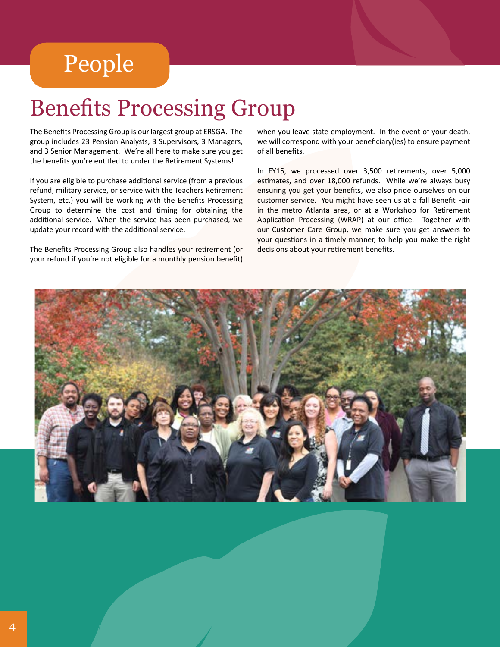## People

## Benefits Processing Group

The Benefits Processing Group is our largest group at ERSGA. The group includes 23 Pension Analysts, 3 Supervisors, 3 Managers, and 3 Senior Management. We're all here to make sure you get the benefits you're entitled to under the Retirement Systems!

If you are eligible to purchase additional service (from a previous refund, military service, or service with the Teachers Retirement System, etc.) you will be working with the Benefits Processing Group to determine the cost and timing for obtaining the additional service. When the service has been purchased, we update your record with the additional service.

The Benefits Processing Group also handles your retirement (or your refund if you're not eligible for a monthly pension benefit)

when you leave state employment. In the event of your death, we will correspond with your beneficiary(ies) to ensure payment of all benefits.

In FY15, we processed over 3,500 retirements, over 5,000 estimates, and over 18,000 refunds. While we're always busy ensuring you get your benefits, we also pride ourselves on our customer service. You might have seen us at a fall Benefit Fair in the metro Atlanta area, or at a Workshop for Retirement Application Processing (WRAP) at our office. Together with our Customer Care Group, we make sure you get answers to your questions in a timely manner, to help you make the right decisions about your retirement benefits.